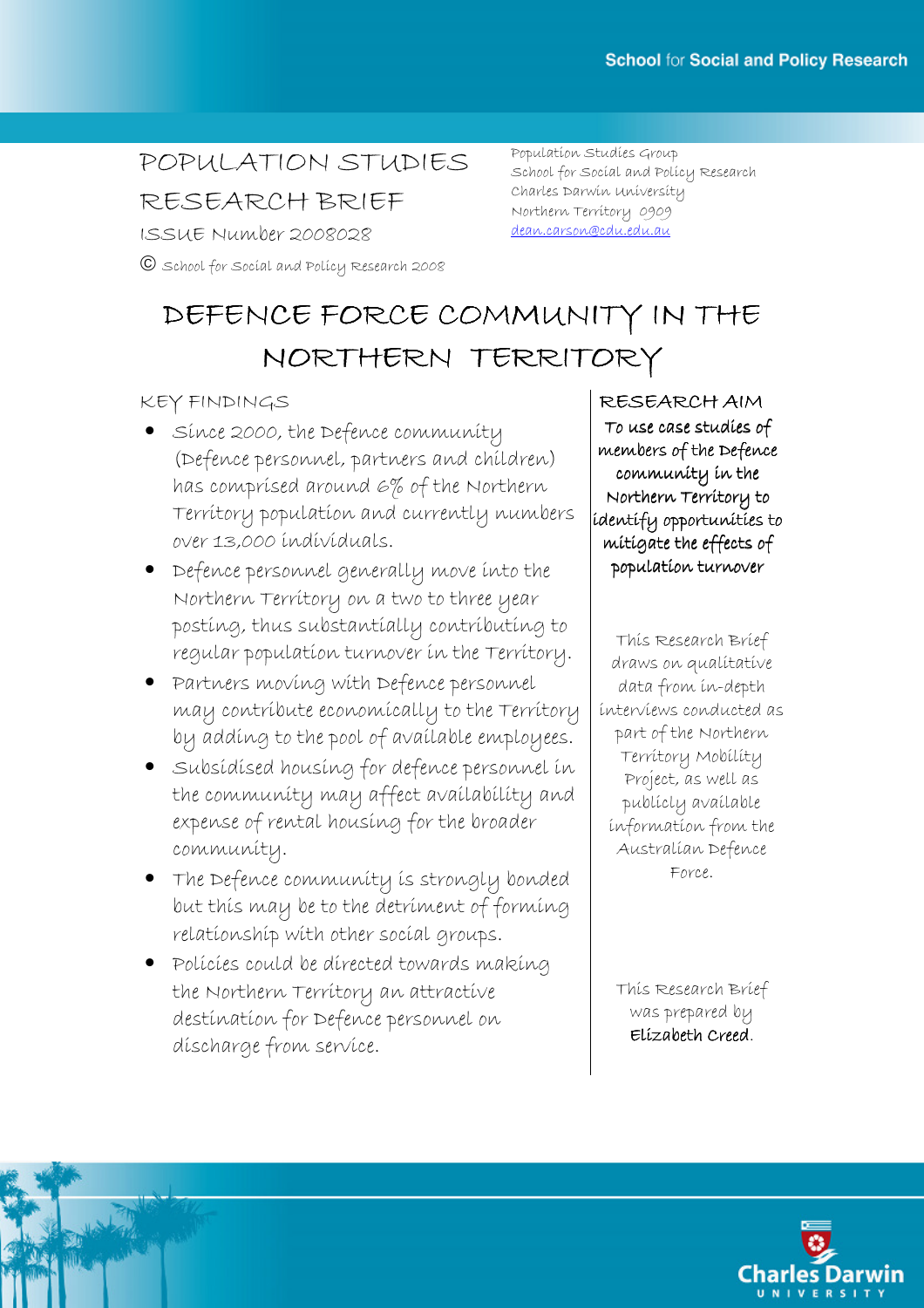# POPULATION STUDIES RESEARCH BRIEF

ISSUE Number 2008028

School for Social and Policy Research 2008

Population Studies Group School for Social and Policy Research Charles Darwin University Northern Territory 0909 dean.carson@cdu.edu.au

# DEFENCE FORCE COMMUNITY IN THE NORTHERN TERRITORY

## KEY FINDINGS

- Since 2000, the Defence community (Defence personnel, partners and children) has comprised around 6% of the Northern Territory population and currently numbers over 13,000 individuals.
- Defence personnel generally move into the Northern Territory on a two to three year posting, thus substantially contributing to regular population turnover in the Territory.
- Partners moving with Defence personnel may contribute economically to the Territory by adding to the pool of available employees.
- Subsidised housing for defence personnel in the community may affect availability and expense of rental housing for the broader community.
- The Defence community is strongly bonded but this may be to the detriment of forming relationship with other social groups.
- Policies could be directed towards making the Northern Territory an attractive destination for Defence personnel on discharge from service.

RESEARCH AIM To use case studies of members of the Defence community in the Northern Territory to identify opportunities to mitigate the effects of population turnover

This Research Brief draws on qualitative data from in-depth interviews conducted as part of the Northern Territory Mobility Project, as well as publicly available information from the Australian Defence Force.

This Research Brief was prepared by Elízabeth Creed.

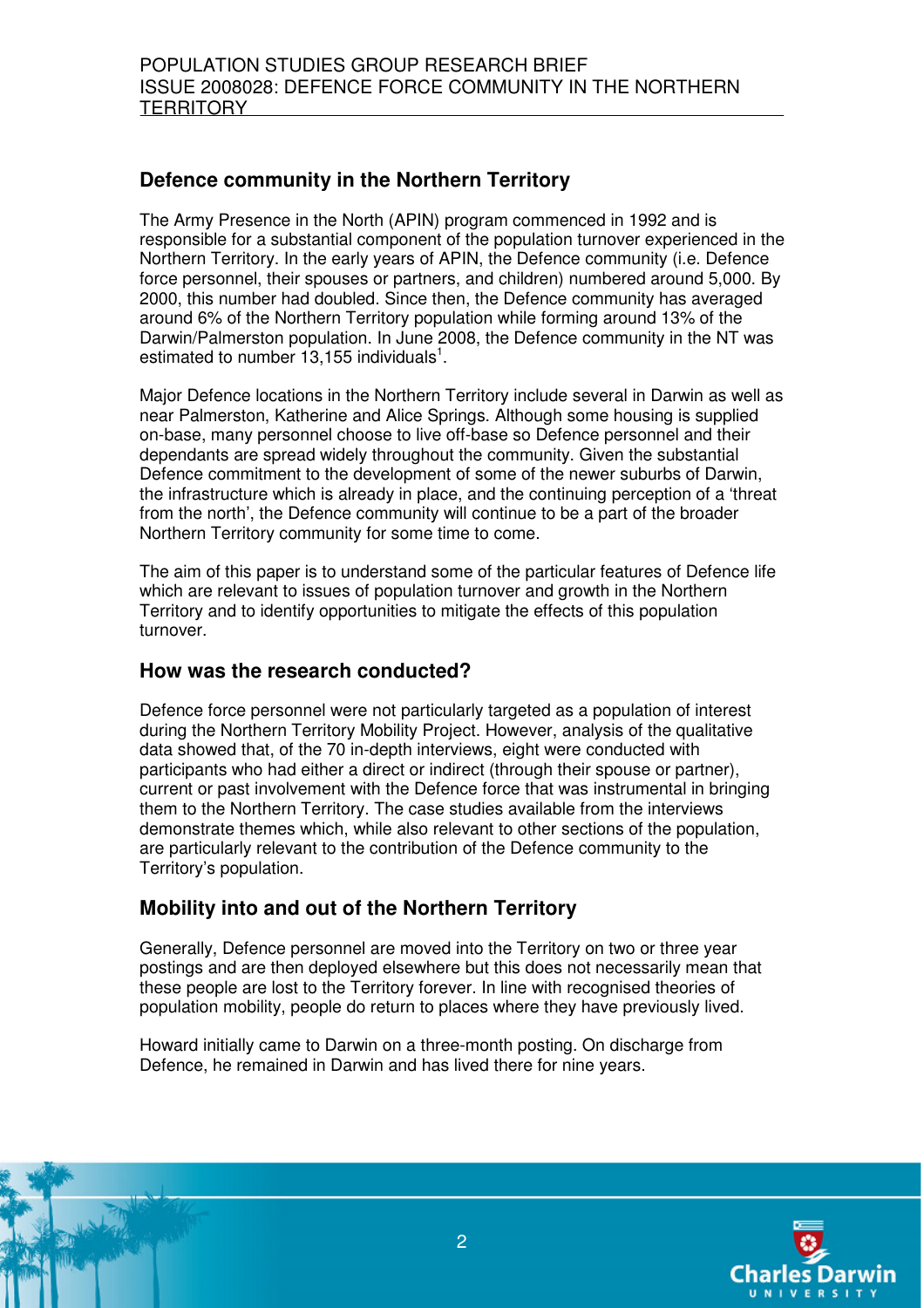# **Defence community in the Northern Territory**

The Army Presence in the North (APIN) program commenced in 1992 and is responsible for a substantial component of the population turnover experienced in the Northern Territory. In the early years of APIN, the Defence community (i.e. Defence force personnel, their spouses or partners, and children) numbered around 5,000. By 2000, this number had doubled. Since then, the Defence community has averaged around 6% of the Northern Territory population while forming around 13% of the Darwin/Palmerston population. In June 2008, the Defence community in the NT was estimated to number  $13,155$  individuals<sup>1</sup>.

Major Defence locations in the Northern Territory include several in Darwin as well as near Palmerston, Katherine and Alice Springs. Although some housing is supplied on-base, many personnel choose to live off-base so Defence personnel and their dependants are spread widely throughout the community. Given the substantial Defence commitment to the development of some of the newer suburbs of Darwin, the infrastructure which is already in place, and the continuing perception of a 'threat from the north', the Defence community will continue to be a part of the broader Northern Territory community for some time to come.

The aim of this paper is to understand some of the particular features of Defence life which are relevant to issues of population turnover and growth in the Northern Territory and to identify opportunities to mitigate the effects of this population turnover.

#### **How was the research conducted?**

Defence force personnel were not particularly targeted as a population of interest during the Northern Territory Mobility Project. However, analysis of the qualitative data showed that, of the 70 in-depth interviews, eight were conducted with participants who had either a direct or indirect (through their spouse or partner), current or past involvement with the Defence force that was instrumental in bringing them to the Northern Territory. The case studies available from the interviews demonstrate themes which, while also relevant to other sections of the population, are particularly relevant to the contribution of the Defence community to the Territory's population.

# **Mobility into and out of the Northern Territory**

Generally, Defence personnel are moved into the Territory on two or three year postings and are then deployed elsewhere but this does not necessarily mean that these people are lost to the Territory forever. In line with recognised theories of population mobility, people do return to places where they have previously lived.

Howard initially came to Darwin on a three-month posting. On discharge from Defence, he remained in Darwin and has lived there for nine years.

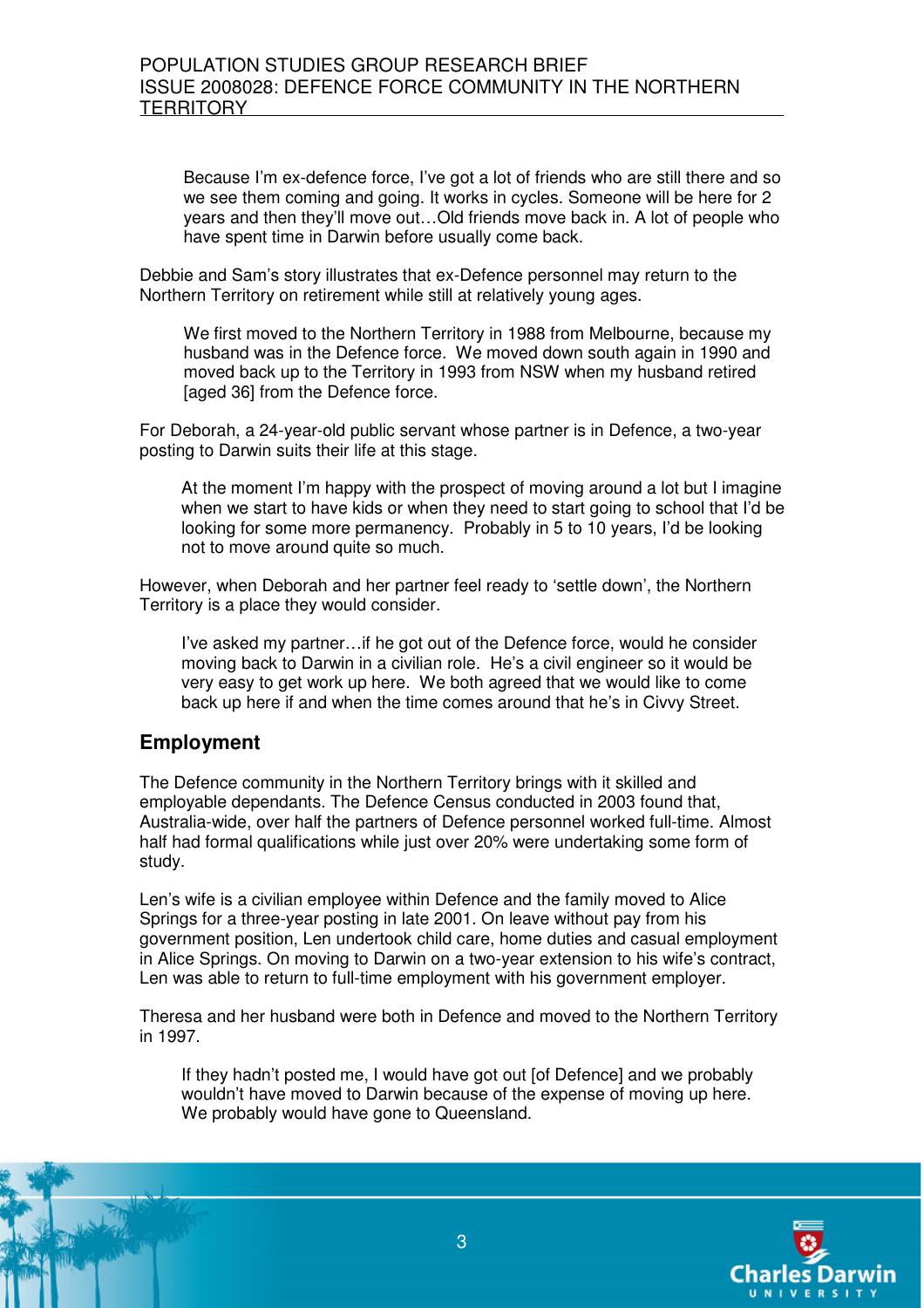Because I'm ex-defence force, I've got a lot of friends who are still there and so we see them coming and going. It works in cycles. Someone will be here for 2 years and then they'll move out…Old friends move back in. A lot of people who have spent time in Darwin before usually come back.

Debbie and Sam's story illustrates that ex-Defence personnel may return to the Northern Territory on retirement while still at relatively young ages.

We first moved to the Northern Territory in 1988 from Melbourne, because my husband was in the Defence force. We moved down south again in 1990 and moved back up to the Territory in 1993 from NSW when my husband retired [aged 36] from the Defence force.

For Deborah, a 24-year-old public servant whose partner is in Defence, a two-year posting to Darwin suits their life at this stage.

At the moment I'm happy with the prospect of moving around a lot but I imagine when we start to have kids or when they need to start going to school that I'd be looking for some more permanency. Probably in 5 to 10 years, I'd be looking not to move around quite so much.

However, when Deborah and her partner feel ready to 'settle down', the Northern Territory is a place they would consider.

I've asked my partner…if he got out of the Defence force, would he consider moving back to Darwin in a civilian role. He's a civil engineer so it would be very easy to get work up here. We both agreed that we would like to come back up here if and when the time comes around that he's in Civvy Street.

#### **Employment**

The Defence community in the Northern Territory brings with it skilled and employable dependants. The Defence Census conducted in 2003 found that, Australia-wide, over half the partners of Defence personnel worked full-time. Almost half had formal qualifications while just over 20% were undertaking some form of study.

Len's wife is a civilian employee within Defence and the family moved to Alice Springs for a three-year posting in late 2001. On leave without pay from his government position, Len undertook child care, home duties and casual employment in Alice Springs. On moving to Darwin on a two-year extension to his wife's contract, Len was able to return to full-time employment with his government employer.

Theresa and her husband were both in Defence and moved to the Northern Territory in 1997.

If they hadn't posted me, I would have got out [of Defence] and we probably wouldn't have moved to Darwin because of the expense of moving up here. We probably would have gone to Queensland.

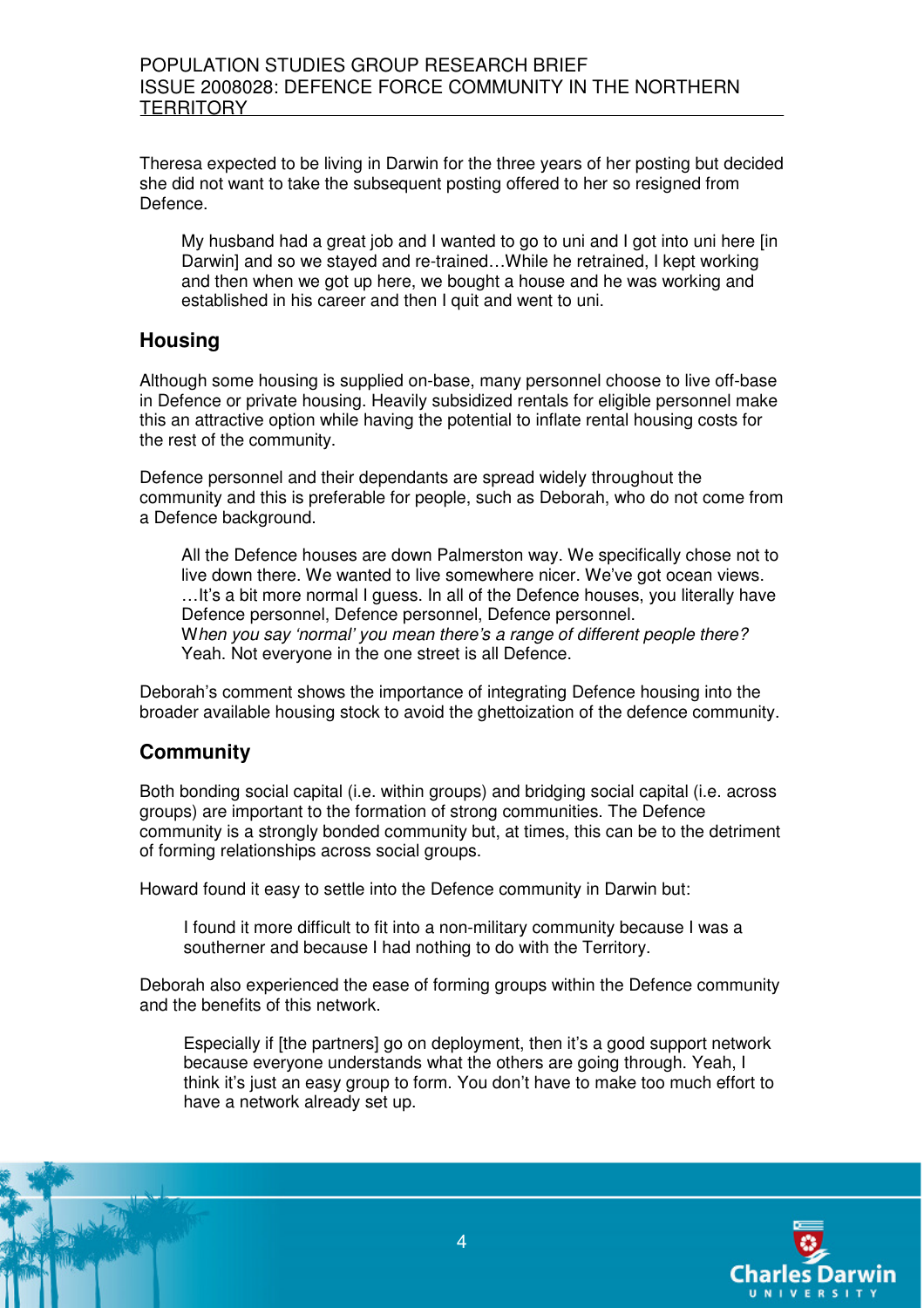Theresa expected to be living in Darwin for the three years of her posting but decided she did not want to take the subsequent posting offered to her so resigned from Defence.

My husband had a great job and I wanted to go to uni and I got into uni here [in Darwin] and so we stayed and re-trained...While he retrained, I kept working and then when we got up here, we bought a house and he was working and established in his career and then I quit and went to uni.

## **Housing**

Although some housing is supplied on-base, many personnel choose to live off-base in Defence or private housing. Heavily subsidized rentals for eligible personnel make this an attractive option while having the potential to inflate rental housing costs for the rest of the community.

Defence personnel and their dependants are spread widely throughout the community and this is preferable for people, such as Deborah, who do not come from a Defence background.

All the Defence houses are down Palmerston way. We specifically chose not to live down there. We wanted to live somewhere nicer. We've got ocean views. ... It's a bit more normal I guess. In all of the Defence houses, you literally have Defence personnel, Defence personnel, Defence personnel. When you say 'normal' you mean there's a range of different people there? Yeah. Not everyone in the one street is all Defence.

Deborah's comment shows the importance of integrating Defence housing into the broader available housing stock to avoid the ghettoization of the defence community.

# **Community**

Both bonding social capital (i.e. within groups) and bridging social capital (i.e. across groups) are important to the formation of strong communities. The Defence community is a strongly bonded community but, at times, this can be to the detriment of forming relationships across social groups.

Howard found it easy to settle into the Defence community in Darwin but:

I found it more difficult to fit into a non-military community because I was a southerner and because I had nothing to do with the Territory.

Deborah also experienced the ease of forming groups within the Defence community and the benefits of this network.

Especially if [the partners] go on deployment, then it's a good support network because everyone understands what the others are going through. Yeah, I think it's just an easy group to form. You don't have to make too much effort to have a network already set up.